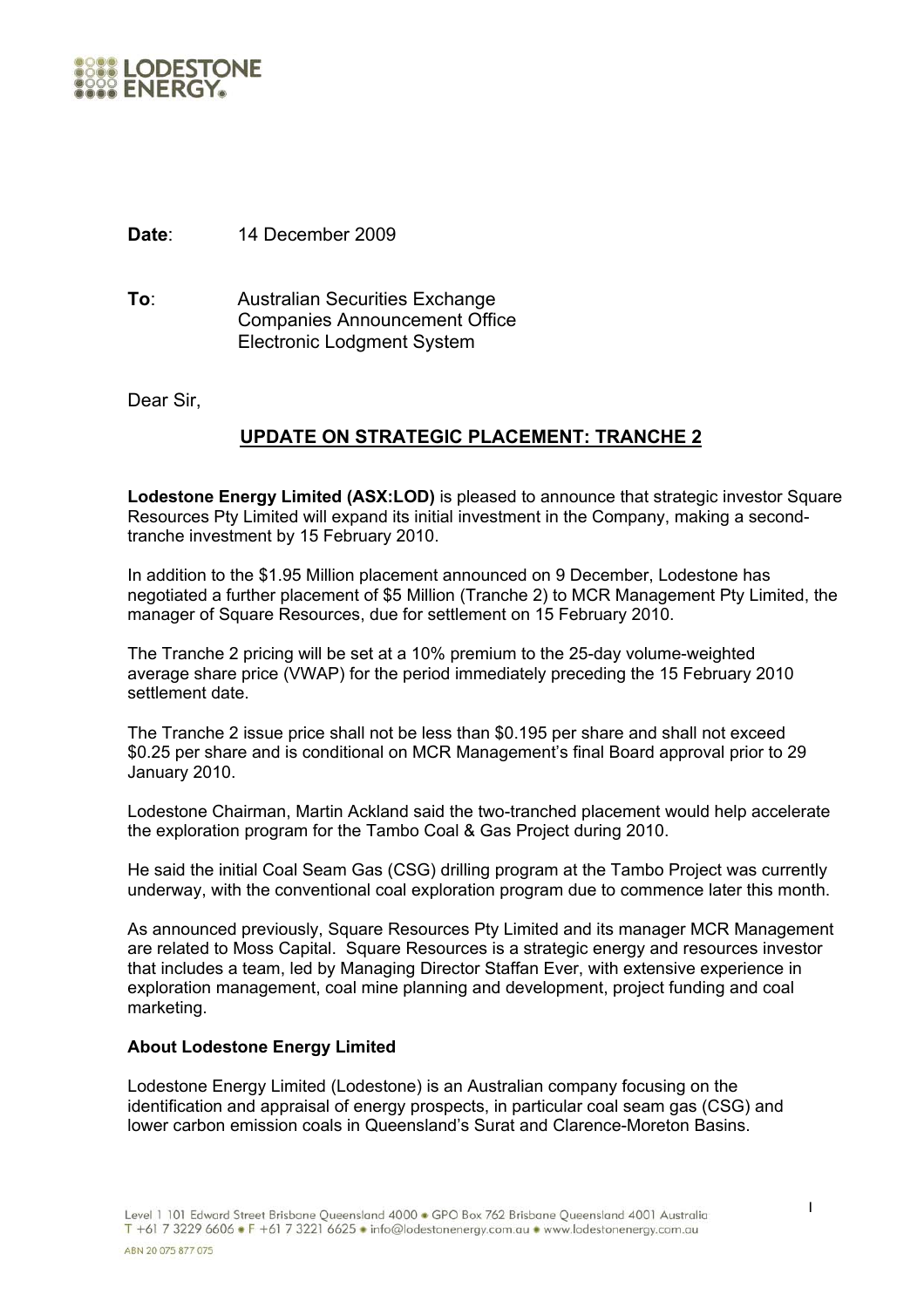

**Date**: 14 December 2009

**To**: Australian Securities Exchange Companies Announcement Office Electronic Lodgment System

Dear Sir,

## **UPDATE ON STRATEGIC PLACEMENT: TRANCHE 2**

**Lodestone Energy Limited (ASX:LOD)** is pleased to announce that strategic investor Square Resources Pty Limited will expand its initial investment in the Company, making a secondtranche investment by 15 February 2010.

In addition to the \$1.95 Million placement announced on 9 December, Lodestone has negotiated a further placement of \$5 Million (Tranche 2) to MCR Management Pty Limited, the manager of Square Resources, due for settlement on 15 February 2010.

The Tranche 2 pricing will be set at a 10% premium to the 25-day volume-weighted average share price (VWAP) for the period immediately preceding the 15 February 2010 settlement date.

The Tranche 2 issue price shall not be less than \$0.195 per share and shall not exceed \$0.25 per share and is conditional on MCR Management's final Board approval prior to 29 January 2010.

Lodestone Chairman, Martin Ackland said the two-tranched placement would help accelerate the exploration program for the Tambo Coal & Gas Project during 2010.

He said the initial Coal Seam Gas (CSG) drilling program at the Tambo Project was currently underway, with the conventional coal exploration program due to commence later this month.

As announced previously, Square Resources Pty Limited and its manager MCR Management are related to Moss Capital. Square Resources is a strategic energy and resources investor that includes a team, led by Managing Director Staffan Ever, with extensive experience in exploration management, coal mine planning and development, project funding and coal marketing.

## **About Lodestone Energy Limited**

Lodestone Energy Limited (Lodestone) is an Australian company focusing on the identification and appraisal of energy prospects, in particular coal seam gas (CSG) and lower carbon emission coals in Queensland's Surat and Clarence-Moreton Basins.